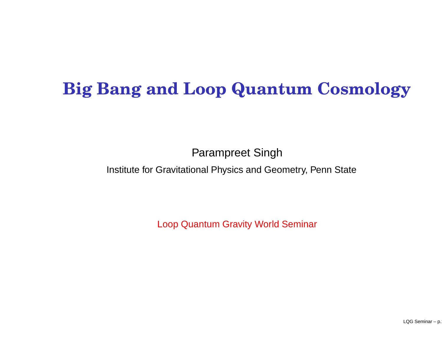# **Big Bang and Loop Quantum Cosmology**

Parampreet Singh

Institute for Gravitational Physics and Geometry, Penn State

Loop Quantum Gravity World Seminar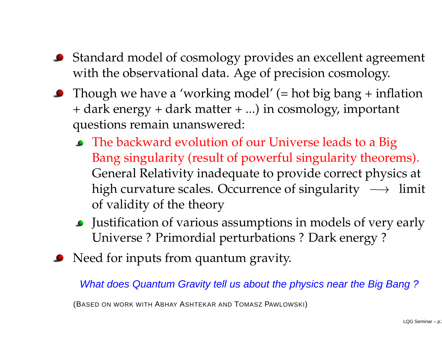- Standard model of cosmology provides an excellent agreemen<sup>t</sup> with the observational data. Age of precision cosmology.
- **•** Though we have a 'working model'  $(=$  hot big bang  $+$  inflation + dark energy <sup>+</sup> dark matter <sup>+</sup> ...) in cosmology, important questions remain unanswered:
	- The backward evolution of our Universe leads to <sup>a</sup> Big Bang singularity (result of powerful singularity theorems). General Relativity inadequate to provide correct physics at high curvature scales. Occurrence of singularity  $\longrightarrow$  limit of validity of the theory
	- Justification of various assumptions in models of very early Universe ? Primordial perturbations ? Dark energy ?
- Need for inputs from quantum gravity.

What does Quantum Gravity tell us about the physics near the Big Bang ?

(BASED ON WORK WITH ABHAY ASHTEKAR AND TOMASZ PAWLOWSKI)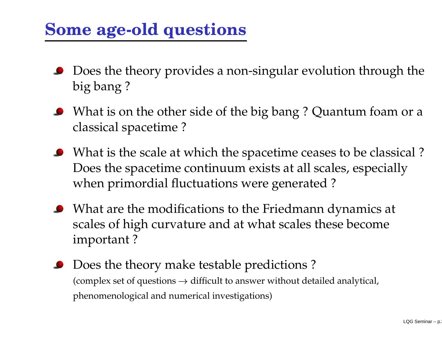### **Some age-old questions**

- Does the theory provides <sup>a</sup> non-singular evolution through the big bang ?
- What is on the other side of the big bang ? Quantum foam or <sup>a</sup> classical spacetime ?
- What is the scale at which the spacetime ceases to be classical ? Does the spacetime continuum exists at all scales, especially when primordial fluctuations were generated ?
- What are the modifications to the Friedmann dynamics at scales of high curvature and at what scales these become important ?
- Does the theory make testable predictions ? (complex set of questions  $\rightarrow$  difficult to answer without detailed analytical, phenomenological and numerical investigations)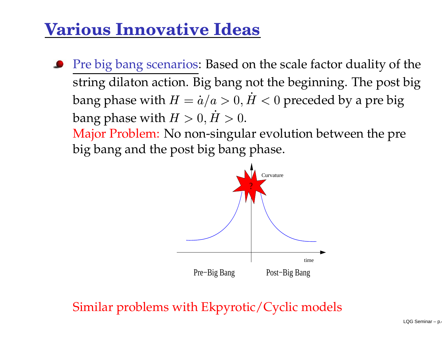### **Various Innovative Ideas**

Pre big bang scenarios: Based on the scale factor duality of the string dilaton action. Big bang not the beginning. The pos<sup>t</sup> big bang phase with  $\frac{1}{2}$   $\frac{1}{2}$   $\frac{1}{2}$  Major Problem: No non-singular evolution between the pre  $p,H < 0$  preceded by a pre big bang phase with  $H>0$  $\sim$   $\sim$ .

big bang and the pos<sup>t</sup> big bang phase.



Similar problems with Ekpyrotic/Cyclic models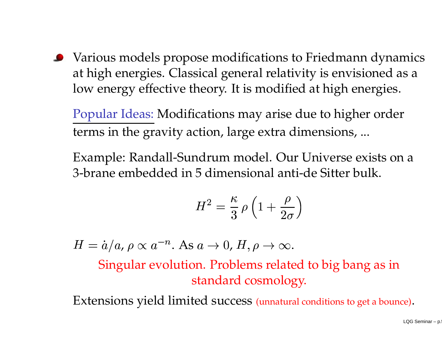Various models propose modifications to Friedmann dynamics at high energies. Classical general relativity is envisioned as <sup>a</sup> low energy effective theory. It is modified at high energies.

Popular Ideas: Modifications may arise due to higher order terms in the gravity action, large extra dimensions, ...

Example: Randall-Sundrum model. Our Universe exists on <sup>a</sup> 3-brane embedded in 5 dimensional anti-de Sitter bulk.

$$
H^2 = \frac{\kappa}{3} \rho \left( 1 + \frac{\rho}{2\sigma} \right)
$$

 $\begin{bmatrix} 1 & 1 & 1 \\ 1 & 1 & 1 \\ 1 & 1 & 1 \\ 1 & 1 & 1 \\ 1 & 1 & 1 \\ 1 & 1 & 1 \\ 1 & 1 & 1 \\ 1 & 1 & 1 \\ 1 & 1 & 1 \\ 1 & 1 & 1 \\ 1 & 1 & 1 \\ 1 & 1 & 1 \\ 1 & 1 & 1 \\ 1 & 1 & 1 \\ 1 & 1 & 1 \\ 1 & 1 & 1 \\ 1 & 1 & 1 \\ 1 & 1 & 1 \\ 1 & 1 & 1 \\ 1 & 1 & 1 \\ 1 & 1 & 1 \\ 1 & 1 & 1 \\ 1 & 1 & 1 \\ 1 & 1 &$  $\begin{pmatrix} 1 \\ 7 \end{pmatrix}$ <br>ec  $\dot{a}= \dot{a}/a$ ,  $\rho \propto a^{-n}$  $A$ s  $a \rightarrow 0$ ,  $H, \rho \rightarrow \infty$ .<br>
lution. Problems relate Singular evolution. Problems related to big bang as in

standard cosmology.

Extensions yield limited success (unnatural conditions to ge<sup>t</sup> <sup>a</sup> bounce).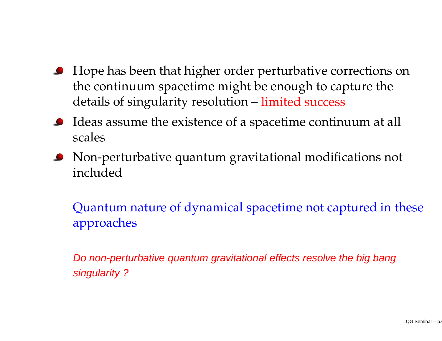- **•** Hope has been that higher order perturbative corrections on the continuum spacetime might be enough to capture the details of singularity resolution – limited success
- Ideas assume the existence of <sup>a</sup> spacetime continuum at all  $\bullet$ scales
- Non-perturbative quantum gravitational modifications not included

Quantum nature of dynamical spacetime not captured in these approaches

Do non-perturbative quantum gravitational effects resolve the big bang singularity?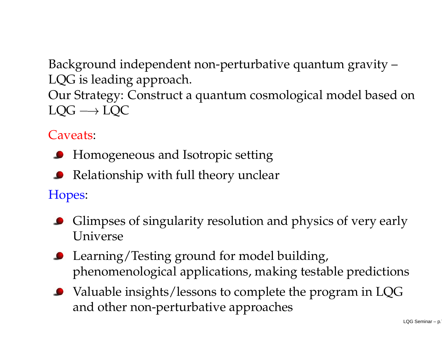Background independent non-perturbative quantum gravity – LQG is leading approach. Our Strategy: Construct <sup>a</sup> quantum cosmological model based on  $LQG \longrightarrow LQC$ 

### Caveats:

- **Homogeneous and Isotropic setting**
- Relationship with full theory unclear

Hopes:

- **•** Glimpses of singularity resolution and physics of very early Universe
- **C** Learning/Testing ground for model building, phenomenological applications, making testable predictions
- Valuable insights/lessons to complete the program in LQG and other non-perturbative approaches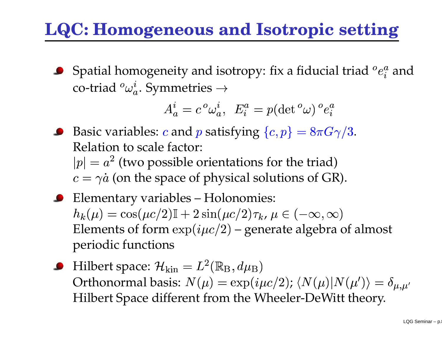# **LQC: Homogeneous and Isotropic setting**

Spatial homogeneity and isotropy: fix a fiducial triad  $^o e^a_i$  and co-triad  ${}^o\omega_a^i.$  Symmetries  $\rightarrow$ 

$$
A_a^i = c^o \omega_a^i, \ E_i^a = p(\det^o \omega)^o e_i^a
$$

 --<br>-<br>-<br>-<br>-<br>-<br><br><br><br><br><br><br><br><br><br><br><br> -<br>-<br>-<br>-<br>-<br>-<br><br><br><br><br><br><br><br><br><br><br><br><br><br><br><br><br>  $\, , \, \, E^a_i = p($ isfying  $\{c,$ TE LITAC  $\alpha=\gamma\dot{a}$  (on the space of physical solutions of GR). Basic variables:  $c$  and  $p$  satisfying  $\{c,p\}=8\pi G\gamma/3$ . Relation to scale factor:  $p| = a^2$  (two possible orientations for the triad)<br>  $c = \gamma \dot{a}$  (on the space of physical solutions of GF<br>
Elementary variables – Holonomies:<br>  $h_h(u) = \cos(uc/2) \mathbb{I} + 2 \sin(uc/2) \tau_h, u \in (-\infty, \infty)$ 

- Elementary variables Holonomies:  $\mu$ ) = cos( $\mu$ c/2)I + 2 sin( $\mu$ c/2) $\tau_k$ ,  $\mu$   $\in$  (  $\infty, \infty)$ Elements of form  $\exp(i\mu c/2)$  – – generate algebra of almost periodic functions
- Orthonormal basis:  $N(\mu) = \exp(i\mu c/2)$ ;  $\langle N(\mu)|N(\mu')\rangle = \delta_{\mu,\mu'}$  $U$ ull. The  $U$  Hilbert Space different from the Wheeler-DeWitt theory. Hilbert space:  ${\cal H}_{\rm kin} = L^2({\mathbb R}_{\rm B},d\mu_{\rm B})$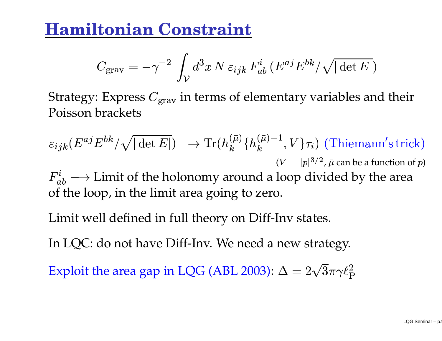### **Hamiltonian Constraint**

$$
C_{\rm grav} = -\gamma^{-2} \int_{\mathcal{V}} d^3x \, N \, \varepsilon_{ijk} \, F_{ab}^i \, (E^{aj} E^{bk} / \sqrt{|\det E|})
$$

-<br>-<br>-<br>-Strategy: Express  $C_{\text{grav}}$  in terms of elementary variables and their Poisson brackets

$$
\varepsilon_{ijk}(E^{aj}E^{bk}/\sqrt{|\det E|}) \longrightarrow \text{Tr}(h_k^{(\bar{\mu})}\{h_k^{(\bar{\mu})-1}, V\}\tau_i)
$$
 (Thiemann's trick)  
\n
$$
(V = |p|^{3/2}, \bar{\mu} \text{ can be a function of } p)
$$
\n
$$
F_{ab}^i \longrightarrow \text{Limit of the holonomy around a loop divided by the area of the loop, in the limit area going to zero.}
$$
\nLimit well defined in full theory on Diff-Inv states.

Limit well defined in full theory on Diff-Inv states.

In LQC: do not have Diff-Inv. We need <sup>a</sup> new strategy.

Exploit the area gap in LQG (ABL 2003):  $\Delta = 2\sqrt{3}\pi\gamma\ell_{\rm P}^2$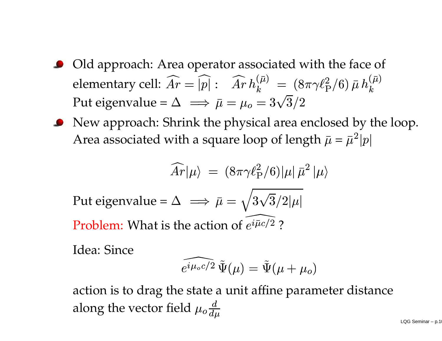- Old approach: Area operator associated with the face of elementary cell:  $\widehat{Ar}$  $\widehat{r}=\widehat{\left|p\right|}:\;\;\widehat{Ar}\,h$  $\begin{array}{l} \bar{u}^{\left(\bar{\mu}\right)}\ =\ (8\pi\gamma\ell_{\text{P}}^{2}/6) \end{array}$  $\bar{u}$   $\bar{h}$  $\bar{n}$ Put eigenvalue =  $\Delta \implies \bar{\mu} = \mu_o = 3\sqrt{3}/2$
- New approach: Shrink the physical area enclosed by the loop. Area associated with a square loop of length  $\bar{\mu}=\bar{\mu}^2|p|$

$$
\widehat{Ar}|\mu\rangle = (8\pi\gamma\ell_{\rm P}^2/6)|\mu|\bar{\mu}^2|\mu\rangle
$$

Put eigenvalue =  $\Delta \implies \bar{\mu} = \sqrt{3\sqrt{3}/2 |\mu|}$ Problem: What is the action of  $e^{i\bar{\mu}c/2}$ 

Idea: Since

ne action of 
$$
e^{i\bar{\mu}c/2}
$$
 ?  
\n
$$
\widehat{e^{i\mu_o c/2}} \tilde{\Psi}(\mu) = \tilde{\Psi}(\mu + \mu_o)
$$
\nexists state a unit affine param

a unit attıne baram  $e^{i\mu_o c/2}\,\tilde\Psi(\mu)=\tilde\Psi(\mu+\mu_o)$ action is to drag the state a unit affine parameter distance  $\binom{1}{1}$ along the vector field  $\mu_o \frac{d}{d\mu}$  $\overline{v}$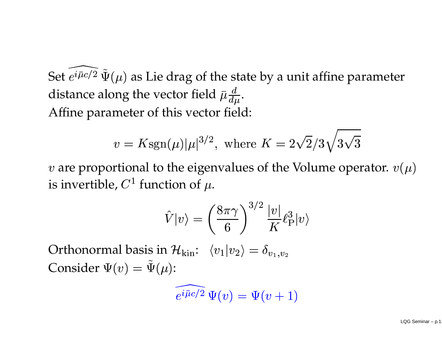Set  $e^{i\bar{\mu}c/2}\,\tilde{\Psi}(\mu)$  as Lie drag of the state by a unit affine parameter distance along the vector field  $\bar{\mu} \frac{d}{d\mu}$  $\mu$  .<br>eld<br>he Affine parameter of this vector field:

$$
v = K \text{sgn}(\mu) |\mu|^{3/2}, \text{ where } K = 2\sqrt{2}/3\sqrt{3}\sqrt{3}
$$

%, where  $K$ <br>
avalues of are proportional to the eigenvalues of the Volume operator.  $v(\mu)$ is invertible,  $C^1$  function of  $\mu$ . $\hat{V} |v\rangle = \bigg($ 

$$
\hat{V}|v\rangle = \left(\frac{8\pi\gamma}{6}\right)^{3/2} \frac{|v|}{K} \ell_P^3 |v\rangle
$$
\nand

\n
$$
\mathcal{H}_{\text{kin}}: \langle v_1 | v_2 \rangle = \delta_{v_1, v_2}
$$
\nand

\n
$$
\widehat{e^{i\overline{\mu}c/2}} \Psi(v) = \Psi(v+1)
$$

 $\frac{6}{10}$ Orthonormal basis in  $\mathcal{H}_{\text{kin}}$ :  $\langle v_1|v_2\rangle = \delta_{v_1}$ Consider  $\Psi(v) = \Psi(\mu)$ :

$$
\widehat{e^{i\overline{\mu}c/2}}\,\Psi(v)=\Psi(v+1)
$$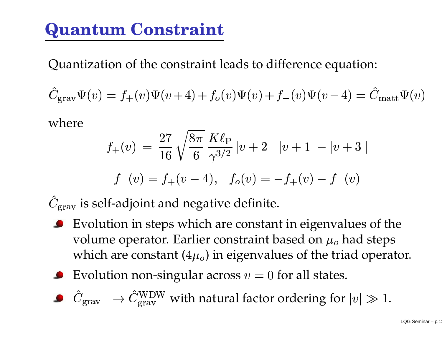# **Quantum Constraint**

Quantization of the constraint leads to difference equation:

$$
\hat{C}_{\text{grav}}\Psi(v) = f_+(v)\Psi(v+4) + f_o(v)\Psi(v) + f_-(v)\Psi(v-4) = \hat{C}_{\text{matt}}\Psi(v)
$$
\nwhere

\n
$$
27 \quad \sqrt{8\pi} \, K\ell
$$

where

$$
f_{+}(v) = \frac{27}{16} \sqrt{\frac{8\pi}{6}} \frac{K\ell_{\text{P}}}{\gamma^{3/2}} |v+2| ||v+1| - |v+3||
$$
  

$$
f_{-}(v) = f_{+}(v-4), \quad f_{o}(v) = -f_{+}(v) - f_{-}(v)
$$
  
If-adjoint and negative definite.  
ution in steps which are constant in eigenvalues

 $\int f_o$ <br>ive d  $\frac{1}{6}$  $_{\rm grav}$  is self-adjoint and negative definite.

- Evolution in steps which are constant in eigenvalues of the volume operator. Earlier constraint based on  $\mu_o$  had steps which are constant  $(4\mu_o)$  in eigenvalues of the triad operator.
- Evolution non-singular across  $v=0$  for all states.
- $\gamma$ <sub>grav</sub>  $\longrightarrow$  $\mathbb{C}_{\rm grav}^{\rm WDW}$  with natural factor ordering for  $|v|\gg 1.2$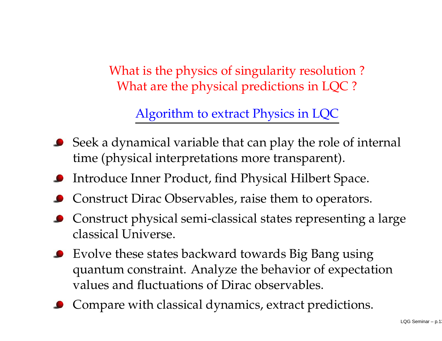What is the physics of singularity resolution ? What are the physical predictions in LQC ?

Algorithm to extract Physics in LQC

- Seek <sup>a</sup> dynamical variable that can play the role of internal time (physical interpretations more transparent).
- Introduce Inner Product, find Physical Hilbert Space.
- Construct Dirac Observables, raise them to operators.
- Construct physical semi-classical states representing <sup>a</sup> large classical Universe.
- Evolve these states backward towards Big Bang using quantum constraint. Analyze the behavior of expectation values and fluctuations of Dirac observables.
- Compare with classical dynamics, extract predictions.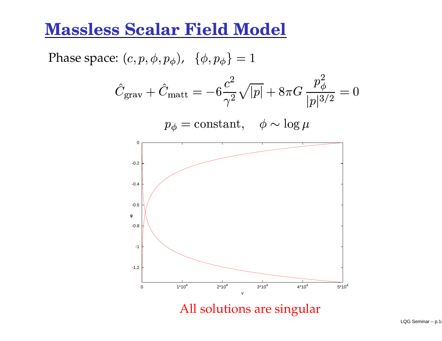### **Massless Scalar Field Model**

Phase space:  $(c,p)$  $(\phi, p_{\phi})$ ,  $\{\phi, p_{\phi}\} =$ <br>+  $\hat{C}_{\rm matt} = -6\frac{c^2}{c^2}\sqrt{2}$ - $6\frac{c^2}{2}$  $\frac{\gamma^2}{\text{an}}$  $\frac{1}{x}$ <br>t,  $\phi \sim$  $\alpha$   $p_{\phi}^2$  $\frac{d}{3}$  $\frac{1}{p|3/2} = 0$  $\phi = \text{constant}, \quad \phi \sim \log$ -1.2-1-0.8 -0.6 -0.4-0.2 0 00 1\*10<sup>4</sup> 2\*10<sup>4</sup> 3\*10<sup>4</sup> 4\*10<sup>4</sup> 5\*10<sup>4</sup> vφ

All solutions are singular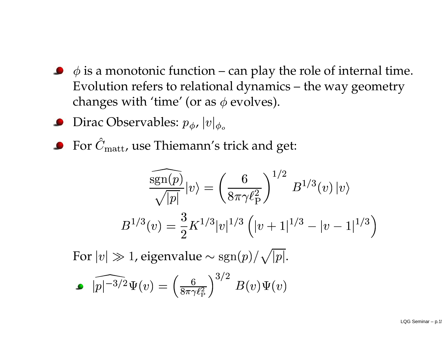- is <sup>a</sup> monotonic function can play the role of internal time. Evolution refers to relational dynamics – the way geometry changes with 'time' (or as  $\phi$  evolves).
- Dirac Observables:  $p_{\phi}$ ,  $|v|$
- For  $\hat{C}_{\rm matt}$ , use Thiemann's trick and get:

$$
\frac{\widehat{\text{sgn}(p)}}{\sqrt{|p|}}|v\rangle = \left(\frac{6}{8\pi\gamma\ell_{\text{P}}^2}\right)^{1/2} B^{1/3}(v) |v\rangle
$$
  
\n
$$
B^{1/3}(v) = \frac{3}{2} K^{1/3} |v|^{1/3} \left(|v+1|^{1/3} - |v-1|^{1/3}\right)
$$
  
\n>1, eigenvalue  $\sim \text{sgn}(p)/\sqrt{|p|}$ .  
\n
$$
\widehat{P}(v) = \left(\frac{6}{8\pi\gamma\ell_{\text{P}}^2}\right)^{3/2} B(v)\Psi(v)
$$

For  $|v|\gg 1$ , eigenvalue  $\sim \text{sgn}(p)/\sqrt{|p|}$ .

$$
\widehat{\left|p\right|^{-3/2}}\Psi(v) = \left(\frac{6}{8\pi\gamma\ell_{\rm P}^2}\right)^{3/2}B(v)\Psi(v)
$$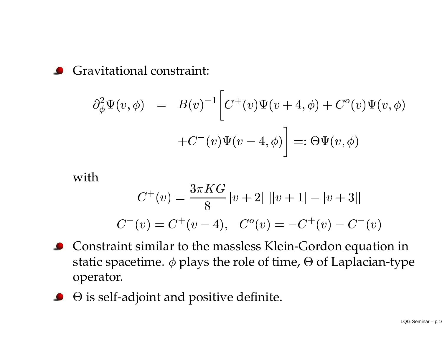Gravitational constraint:

$$
\partial_{\phi}^{2} \Psi(v,\phi) = B(v)^{-1} \bigg[ C^{+}(v) \Psi(v+4,\phi) + C^{o}(v) \Psi(v,\phi) \n+ C^{-}(v) \Psi(v-4,\phi) \bigg] =: \Theta \Psi(v,\phi)
$$
h

with

$$
C^{+}(v) = \frac{3\pi KG}{8} |v+2| \, ||v+1| - |v+3||
$$
  

$$
C^{-}(v) = C^{+}(v-4), \quad C^{o}(v) = -C^{+}(v) - C^{-}(v)
$$
  
int similar to the massless Klein-Gordon equation  
vacetime.  $\phi$  plays the role of time,  $\Theta$  of Laplacian

- static spacetime.  $\phi$  plays the role of time,  $\Theta$  of Laplacian-type  $\, , \, \, \, C^{o}(\,$ assless $\,$ e role Constraint similar to the massless Klein-Gordon equation in operator.
- is self-adjoint and positive definite.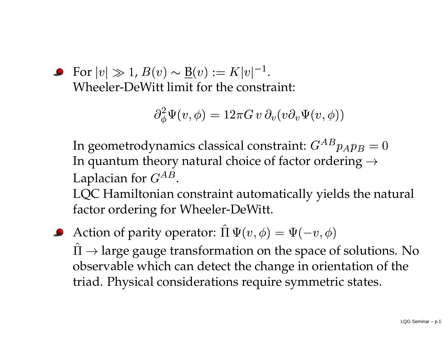• For 
$$
|v| \gg 1
$$
,  $B(v) \sim \underline{B}(v) := K|v|^{-1}$ .  
Wheeler-DeWitt limit for the constraint:  

$$
\partial_{\phi}^{2} \Psi(v, \phi) = 12\pi G \, v \, \partial_{v}(v\partial
$$

$$
\partial^2_{\phi}\Psi(v,\phi)=12\pi G\,v\,\partial_v(v\partial_v\Psi(v,\phi))
$$

 $\partial_{\phi}^2 \Psi(v,\phi) = 12\pi G\,v\,\partial_v(v\partial_v\Psi(v,\phi))$ namics classical constraint:  $G^{AB}p$ <br>ory natural choice of factor order In geometrodynamics classical constraint:  $G^{AB}p_A p_B=0$ In quantum theory natural choice of factor ordering  $\rightarrow$ Laplacian for  $G^{AB}$ .

.<br>n<br>חר<br>חר LQC Hamiltonian constraint automatically yields the natural factor ordering for Wheeler-DeWitt.

Action of parity operator:  $\Pi\Psi($  $(\phi, \phi) = \Psi(-v, \phi)$ <br>on the space of change in orier  $v$  observable which can detect the change in orientation of the I  $\rightarrow$  large gauge transformation on the space of solutions. No triad. Physical considerations require symmetric states.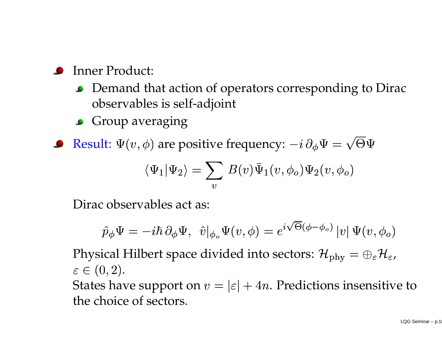- Inner Product:
	- Demand that action of operators corresponding to Dirac observables is self-adjoint
	- **Group averaging**
- 

Result: 
$$
\Psi(v, \phi)
$$
 are positive frequency:  $-i \partial_{\phi} \Psi = \sqrt{\Theta \Psi}$   
\n
$$
\langle \Psi_1 | \Psi_2 \rangle = \sum_v B(v) \bar{\Psi}_1(v, \phi_o) \Psi_2(v, \phi_o)
$$
\nDirac observables act as:

Dirac observables act as:

$$
\hat{p}_{\phi}\Psi=-i\hbar\,\partial_{\phi}\Psi,\;\;\hat{v}|_{\phi_o}\Psi(v,\phi)=e^{i\sqrt{\Theta}(\phi-\phi_o)}\,|v|\,\Psi(v,\phi_o)
$$

 $,\;\;\hat{v}|_{\phi_o}\Psi(v,\phi)=e^{i\sqrt{\Theta}(\phi-\phi_o)}\,|v|\,\Psi(v,\phi_o)$ ce divided into sectors:  $\mathcal{H}_{{\rm phy}}=\oplus_{\varepsilon}\mathcal{H}_\varepsilon$  $\left(\frac{1}{2}\right)$ Physical Hilbert space divided into sectors:  ${\cal H}$  $\equiv$   $\leftrightarrow$  $_{\varepsilon}$ H $_{\varepsilon}$ ,<br>sitiv  $\in (0$ , 2).<br>ha<br>oic States have support on  $v=|\varepsilon|+4$ . Predictions insensitive to the choice of sectors.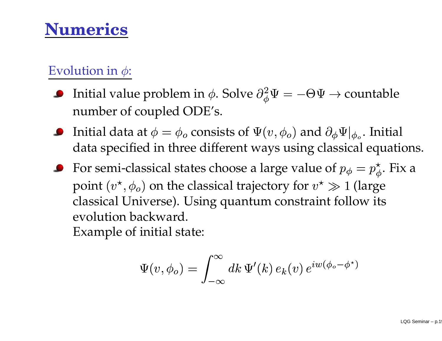### **Numerics**

### Evolution in  $\phi$ :

- Initial value problem in  $\phi$ . Solve  $\partial_{\phi}^{2} \Psi = -\Theta \Psi \to$  countable<br>number of coupled ODE's.<br>Initial data at  $\phi = \phi_o$  consists of  $\Psi(v, \phi_o)$  and  $\partial_{\phi} \Psi|_{\phi_o}$ . Initial number of coupled ODE's.
- Initial data at  $\phi=\phi_o$  consists of  $\Psi($  $,\phi_o$ rs u data specified in three different ways using classical equations.
- Initial data at  $\phi = \phi_o$  consists of  $\Psi(v, \phi_o)$  and  $\partial_{\phi} \Psi|_{\phi_o}$ . Initial<br>data specified in three different ways using classical equation<br>For semi-classical states choose a large value of  $p_{\phi} = p_{\phi}^{\star}$ . Fix a<br>poin point  $(v^\star$  $\ddot{\phantom{a}}$  $(\phi_o)$  on the classical trajectory for  $v^* \gg 1$  (large Universe). Using quantum constraint follow its n backward. classical Universe). Using quantum constraint follow its evolution backward. Example of initial state:

$$
\Psi(v, \phi_o) = \int_{-\infty}^{\infty} dk \, \Psi'(k) \, e_k(v) \, e^{iw(\phi_o - \phi^*)}
$$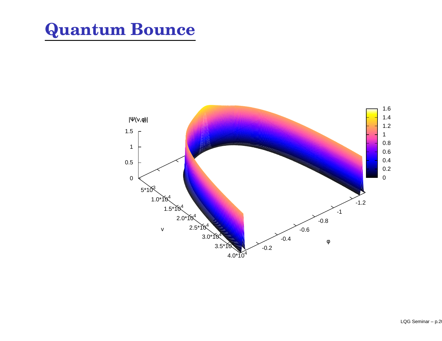### **Quantum Bounce**

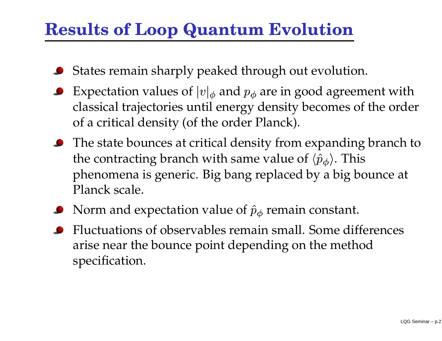### **Results of Loop Quantum Evolution**

- States remain sharply peaked through out evolution.
- Expectation values of  $|v|_{\phi}$  and  $p_{\phi}$  are in good agreement with classical trajectories until energy density becomes of the order of <sup>a</sup> critical density (of the order Planck).
- The state bounces at critical density from expanding branch to the contracting branch with same value of  $\langle \hat{p}_\phi \rangle$ . This phenomena is generic. Big bang replaced by <sup>a</sup> big bounce at Planck scale.
- Norm and expectation value of  $\hat{p}_\phi$  remain constant.
- Fluctuations of observables remain small. Some differences arise near the bounce point depending on the method specification.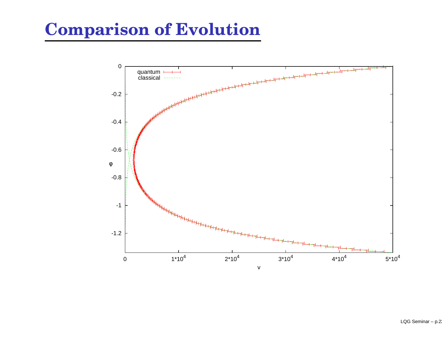### **Comparison of Evolution**

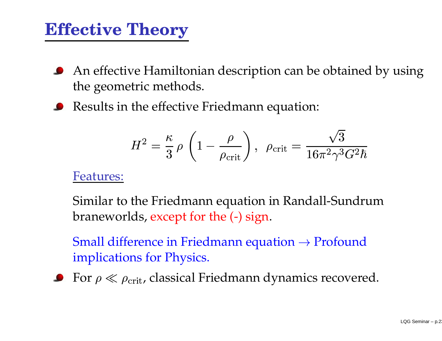### **Effective Theory**

- An effective Hamiltonian description can be obtained by using the geometric methods.
- Results in the effective Friedmann equation:

$$
H^2 = \frac{\kappa}{3} \rho \left( 1 - \frac{\rho}{\rho_{\rm crit}} \right), \ \rho_{\rm crit} = \frac{\sqrt{3}}{16\pi^2 \gamma^3 G^2 \hbar}
$$

#### Features:

cr<br>]1<br>( braneworlds, excep<sup>t</sup> for the (-) sign. Similar to the Friedmann equation in Randall-Sundrum

Small difference in Friedmann equation  $\rightarrow$  Profound implications for Physics.

**•** For  $\rho \ll \rho_{\text{crit}}$ , classical Friedmann dynamics recovered.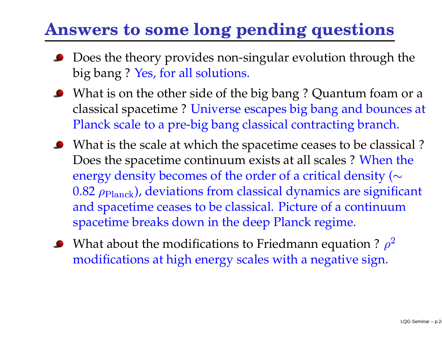# **Answers to some long pending questions**

- Does the theory provides non-singular evolution through the big bang ? Yes, for all solutions.
- What is on the other side of the big bang ? Quantum foam or <sup>a</sup> classical spacetime ? Universe escapes big bang and bounces at Planck scale to <sup>a</sup> pre-big bang classical contracting branch.
- What is the scale at which the spacetime ceases to be classical ? Does the spacetime continuum exists at all scales ? When the energy density becomes of the order of a critical density ( $\sim$  and spacetime ceases to be classical. Picture of <sup>a</sup> continuum  $0.82$   $\rho_{\rm Planck}$ ), deviations from classical dynamics are significant spacetime breaks down in the deep Planck regime.
- What about the modifications to Friedmann equation ?  $\rho^2$ modifications at high energy scales with <sup>a</sup> negative sign.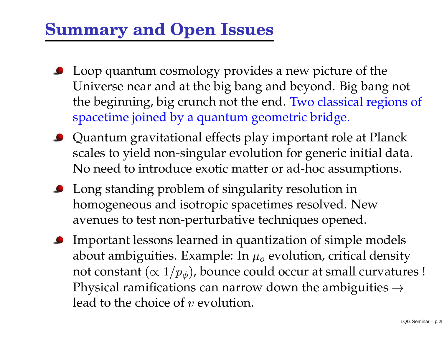### **Summary and Open Issues**

- **•** Loop quantum cosmology provides a new picture of the Universe near and at the big bang and beyond. Big bang not the beginning, big crunch not the end. Two classical regions of spacetime joined by <sup>a</sup> quantum geometric bridge.
- Quantum gravitational effects play important role at Planck scales to yield non-singular evolution for generic initial data. No need to introduce exotic matter or ad-hoc assumptions.
- **•** Long standing problem of singularity resolution in homogeneous and isotropic spacetimes resolved. New avenues to test non-perturbative techniques opened.
- **•** Important lessons learned in quantization of simple models about ambiguities. Example: In  $\mu_0$  evolution, critical density not constant  $(\propto 1/p_{\phi})$ , bounce could occur at small curvatures ! Physical ramifications can narrow down the ambiguities  $\rightarrow$ lead to the choice of  $v$  evolution.